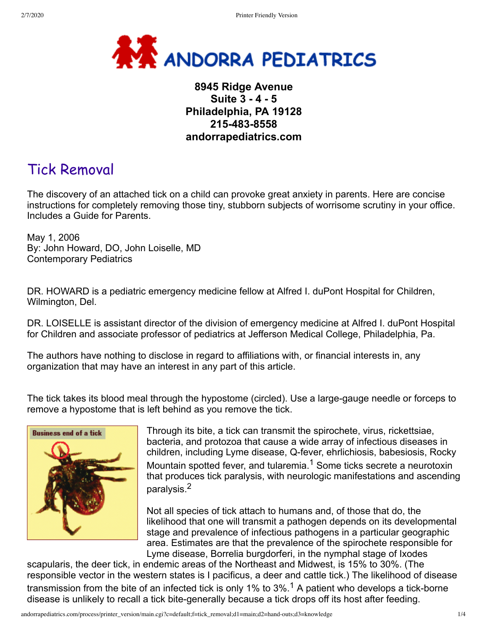

## **8945 Ridge Avenue Suite 3 - 4 - 5 Philadelphia, PA 19128 215-483-8558 andorrapediatrics.com**

# Tick Removal

The discovery of an attached tick on a child can provoke great anxiety in parents. Here are concise instructions for completely removing those tiny, stubborn subjects of worrisome scrutiny in your office. Includes a Guide for Parents.

May 1, 2006 By: John Howard, DO, John Loiselle, MD Contemporary Pediatrics

DR. HOWARD is a pediatric emergency medicine fellow at Alfred I. duPont Hospital for Children, Wilmington, Del.

DR. LOISELLE is assistant director of the division of emergency medicine at Alfred I. duPont Hospital for Children and associate professor of pediatrics at Jefferson Medical College, Philadelphia, Pa.

The authors have nothing to disclose in regard to affiliations with, or financial interests in, any organization that may have an interest in any part of this article.

The tick takes its blood meal through the hypostome (circled). Use a large-gauge needle or forceps to remove a hypostome that is left behind as you remove the tick.



Through its bite, a tick can transmit the spirochete, virus, rickettsiae, bacteria, and protozoa that cause a wide array of infectious diseases in children, including Lyme disease, Q-fever, ehrlichiosis, babesiosis, Rocky Mountain spotted fever, and tularemia.<sup>1</sup> Some ticks secrete a neurotoxin that produces tick paralysis, with neurologic manifestations and ascending paralysis.2

Not all species of tick attach to humans and, of those that do, the likelihood that one will transmit a pathogen depends on its developmental stage and prevalence of infectious pathogens in a particular geographic area. Estimates are that the prevalence of the spirochete responsible for Lyme disease, Borrelia burgdorferi, in the nymphal stage of Ixodes

scapularis, the deer tick, in endemic areas of the Northeast and Midwest, is 15% to 30%. (The responsible vector in the western states is I pacificus, a deer and cattle tick.) The likelihood of disease transmission from the bite of an infected tick is only 1% to 3%.<sup>1</sup> A patient who develops a tick-borne disease is unlikely to recall a tick bite-generally because a tick drops off its host after feeding.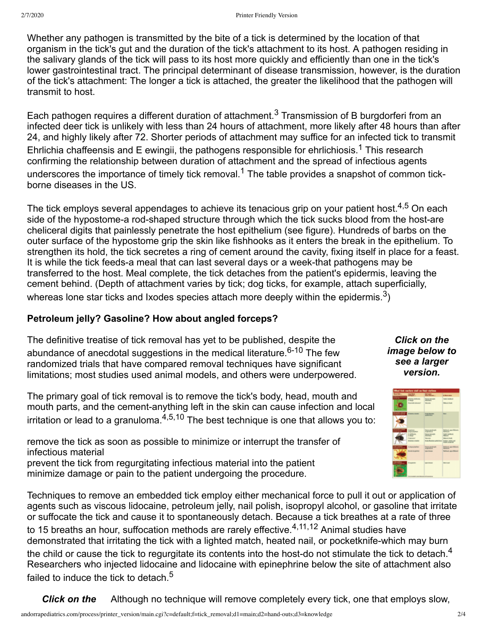Whether any pathogen is transmitted by the bite of a tick is determined by the location of that organism in the tick's gut and the duration of the tick's attachment to its host. A pathogen residing in the salivary glands of the tick will pass to its host more quickly and efficiently than one in the tick's lower gastrointestinal tract. The principal determinant of disease transmission, however, is the duration of the tick's attachment: The longer a tick is attached, the greater the likelihood that the pathogen will transmit to host.

Each pathogen requires a different duration of attachment.<sup>3</sup> Transmission of B burgdorferi from an infected deer tick is unlikely with less than 24 hours of attachment, more likely after 48 hours than after 24, and highly likely after 72. Shorter periods of attachment may suffice for an infected tick to transmit Ehrlichia chaffeensis and E ewingii, the pathogens responsible for ehrlichiosis.<sup>1</sup> This research confirming the relationship between duration of attachment and the spread of infectious agents underscores the importance of timely tick removal.<sup>1</sup> The table provides a snapshot of common tickborne diseases in the US.

The tick employs several appendages to achieve its tenacious grip on your patient host.<sup>4,5</sup> On each side of the hypostome-a rod-shaped structure through which the tick sucks blood from the host-are cheliceral digits that painlessly penetrate the host epithelium (see figure). Hundreds of barbs on the outer surface of the hypostome grip the skin like fishhooks as it enters the break in the epithelium. To strengthen its hold, the tick secretes a ring of cement around the cavity, fixing itself in place for a feast. It is while the tick feeds-a meal that can last several days or a week-that pathogens may be transferred to the host. Meal complete, the tick detaches from the patient's epidermis, leaving the cement behind. (Depth of attachment varies by tick; dog ticks, for example, attach superficially, whereas lone star ticks and Ixodes species attach more deeply within the epidermis.<sup>3</sup>)

## **Petroleum jelly? Gasoline? How about angled forceps?**

The definitive treatise of tick removal has yet to be published, despite the abundance of anecdotal suggestions in the medical literature.<sup>6-10</sup> The few randomized trials that have compared removal techniques have significant limitations; most studies used animal models, and others were underpowered.

The primary goal of tick removal is to remove the tick's body, head, mouth and mouth parts, and the cement-anything left in the skin can cause infection and local irritation or lead to a granuloma. $4,5,10$  The best technique is one that allows you to:

remove the tick as soon as possible to minimize or interrupt the transfer of infectious material prevent the tick from regurgitating infectious material into the patient minimize damage or pain to the patient undergoing the procedure.

Techniques to remove an embedded tick employ either mechanical force to pull it out or application of agents such as viscous lidocaine, petroleum jelly, nail polish, isopropyl alcohol, or gasoline that irritate or suffocate the tick and cause it to spontaneously detach. Because a tick breathes at a rate of three to 15 breaths an hour, suffocation methods are rarely effective.<sup>4,11,12</sup> Animal studies have demonstrated that irritating the tick with a lighted match, heated nail, or pocketknife-which may burn the child or cause the tick to regurgitate its contents into the host-do not stimulate the tick to detach.<sup>4</sup> Researchers who injected lidocaine and lidocaine with epinephrine below the site of attachment also failed to induce the tick to detach.<sup>5</sup>

*Click on the* Although no technique will remove completely every tick, one that employs slow,

*Click on the image below to see a larger version.*

| <b>What this conform staff on their stations</b> |                                                                                         |                                                                                           |                                                                                                      |
|--------------------------------------------------|-----------------------------------------------------------------------------------------|-------------------------------------------------------------------------------------------|------------------------------------------------------------------------------------------------------|
|                                                  | $=$                                                                                     | <b>Mars</b>                                                                               | <b>Children</b>                                                                                      |
| ___                                              | <b>Final</b> <sup>N</sup><br><b>Executively</b> Adverses                                | <b>SELECTION</b><br><b>Money</b>                                                          | ark Fanland<br><b>State of South</b>                                                                 |
|                                                  | <b>Brazilia</b> career                                                                  | <b>SALEMANA</b><br><b>SERVICE</b>                                                         | <b>Black</b>                                                                                         |
| <b>County Limit</b>                              | <b>Services</b><br>1 phpm<br><b><i><u>Expendity</u></i></b><br><b>Enterior schoolst</b> | <b>COLESNA</b><br><b><i><u>SEA BOAT</u></i></b><br><b>State</b><br><b>Enda Gravitor o</b> | <b>Britain Ave Mont.</b><br><b>Salt Sedant</b><br>$-$<br><b>Brown Suit</b><br><b>Color color and</b> |
| ---<br>æ                                         | 4 Highland<br><b>Excels Argileter</b>                                                   | <b>START OF</b><br><b>Learn Acesse</b>                                                    | Mandanani, paper Michigani,<br><b>SALL</b><br>Vandmand, again Michael                                |
| <b>Colla</b><br><b>The St</b><br>o               | <b>Electricity</b>                                                                      | <b>Service Armora</b><br><b>BLOWING OFFICIATION</b>                                       | <b>State Council</b>                                                                                 |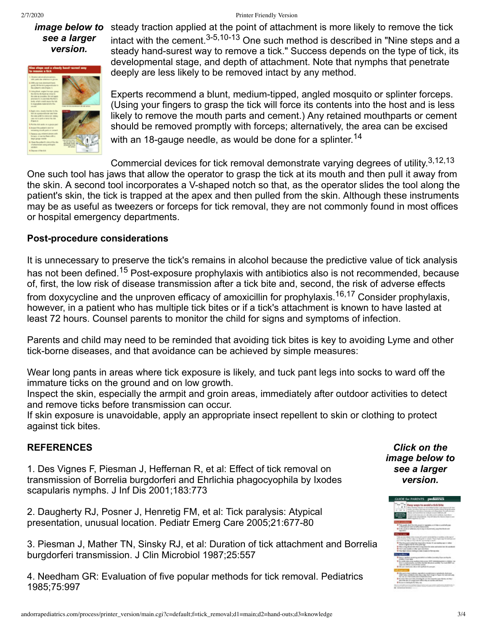#### 2/7/2020 Printer Friendly Version

# *see a larger version.*



image below to steady traction applied at the point of attachment is more likely to remove the tick intact with the cement.3-5,10-13 One such method is described in "Nine steps and a steady hand-surest way to remove a tick." Success depends on the type of tick, its developmental stage, and depth of attachment. Note that nymphs that penetrate deeply are less likely to be removed intact by any method.

> Experts recommend a blunt, medium-tipped, angled mosquito or splinter forceps. (Using your fingers to grasp the tick will force its contents into the host and is less likely to remove the mouth parts and cement.) Any retained mouthparts or cement should be removed promptly with forceps; alternatively, the area can be excised with an 18-gauge needle, as would be done for a splinter.<sup>14</sup>

Commercial devices for tick removal demonstrate varying degrees of utility.<sup>3,12,13</sup> One such tool has jaws that allow the operator to grasp the tick at its mouth and then pull it away from the skin. A second tool incorporates a V-shaped notch so that, as the operator slides the tool along the patient's skin, the tick is trapped at the apex and then pulled from the skin. Although these instruments may be as useful as tweezers or forceps for tick removal, they are not commonly found in most offices or hospital emergency departments.

### **Post-procedure considerations**

It is unnecessary to preserve the tick's remains in alcohol because the predictive value of tick analysis has not been defined.<sup>15</sup> Post-exposure prophylaxis with antibiotics also is not recommended, because of, first, the low risk of disease transmission after a tick bite and, second, the risk of adverse effects from doxycycline and the unproven efficacy of amoxicillin for prophylaxis.<sup>16,17</sup> Consider prophylaxis, however, in a patient who has multiple tick bites or if a tick's attachment is known to have lasted at least 72 hours. Counsel parents to monitor the child for signs and symptoms of infection.

Parents and child may need to be reminded that avoiding tick bites is key to avoiding Lyme and other tick-borne diseases, and that avoidance can be achieved by simple measures:

Wear long pants in areas where tick exposure is likely, and tuck pant legs into socks to ward off the immature ticks on the ground and on low growth.

Inspect the skin, especially the armpit and groin areas, immediately after outdoor activities to detect and remove ticks before transmission can occur.

If skin exposure is unavoidable, apply an appropriate insect repellent to skin or clothing to protect against tick bites.

### **REFERENCES**

1. Des Vignes F, Piesman J, Heffernan R, et al: Effect of tick removal on transmission of Borrelia burgdorferi and Ehrlichia phagocyophila by Ixodes scapularis nymphs. J Inf Dis 2001;183:773

2. Daugherty RJ, Posner J, Henretig FM, et al: Tick paralysis: Atypical presentation, unusual location. Pediatr Emerg Care 2005;21:677-80

3. Piesman J, Mather TN, Sinsky RJ, et al: Duration of tick attachment and Borrelia burgdorferi transmission. J Clin Microbiol 1987;25:557

4. Needham GR: Evaluation of five popular methods for tick removal. Pediatrics 1985;75:997

*Click on the image below to see a larger version.*